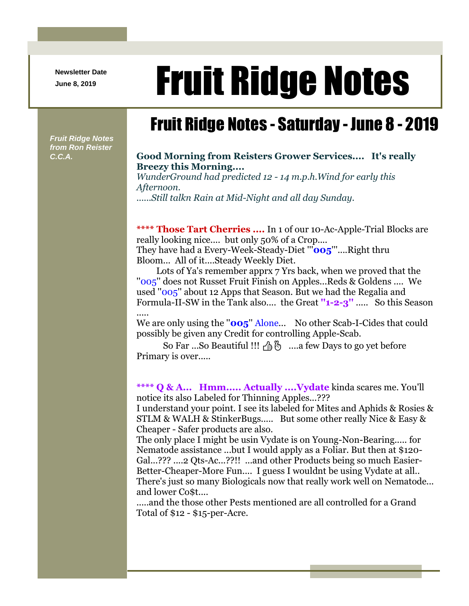**Newsletter Date**

## Newsletter Date **Fruit Ridge Notes**

## Fruit Ridge Notes - Saturday - June 8 - 2019

*Fruit Ridge Notes from Ron Reister* 

## *C.C.A.* **Good Morning from Reisters Grower Services.... It's really Breezy this Morning....**

*WunderGround had predicted 12 - 14 m.p.h.Wind for early this Afternoon.*

*......Still talkn Rain at Mid-Night and all day Sunday.*

**\*\*\*\* Those Tart Cherries ....** In 1 of our 10-Ac-Apple-Trial Blocks are really looking nice.... but only 50% of a Crop.... They have had a Every-Week-Steady-Diet '''**005**'''....Right thru

Bloom... All of it....Steady Weekly Diet.

Lots of Ya's remember apprx 7 Yrs back, when we proved that the ''005'' does not Russet Fruit Finish on Apples...Reds & Goldens .... We used ''005'' about 12 Apps that Season. But we had the Regalia and Formula-II-SW in the Tank also.... the Great **''1-2-3''** ..... So this Season .....

We are only using the "**005**" Alone... No other Scab-I-Cides that could possibly be given any Credit for controlling Apple-Scab.

So Far ...So Beautiful !!!  $\beta \hat{\beta}$  ....a few Days to go yet before Primary is over.....

**\*\*\*\* Q & A... Hmm..... Actually ....Vydate** kinda scares me. You'll notice its also Labeled for Thinning Apples...???

I understand your point. I see its labeled for Mites and Aphids & Rosies & STLM & WALH & StinkerBugs..... But some other really Nice & Easy & Cheaper - Safer products are also.

The only place I might be usin Vydate is on Young-Non-Bearing..... for Nematode assistance ...but I would apply as a Foliar. But then at \$120- Gal...??? ....2 Qts-Ac...??!! ...and other Products being so much Easier-Better-Cheaper-More Fun.... I guess I wouldnt be using Vydate at all.. There's just so many Biologicals now that really work well on Nematode... and lower Co\$t....

.....and the those other Pests mentioned are all controlled for a Grand Total of \$12 - \$15-per-Acre.